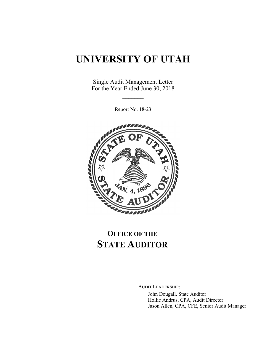## **UNIVERSITY OF UTAH**  $\frac{1}{2}$

Single Audit Management Letter For the Year Ended June 30, 2018

 $\mathcal{L}_\text{max}$ 

Report No. 18-23



# **OFFICE OF THE STATE AUDITOR**

AUDIT LEADERSHIP:

John Dougall, State Auditor Hollie Andrus, CPA, Audit Director Jason Allen, CPA, CFE, Senior Audit Manager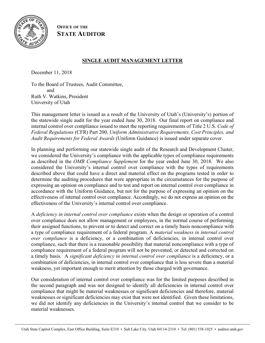

**OFFICE OF THE STATE AUDITOR**

#### **SINGLE AUDIT MANAGEMENT LETTER**

December 11, 2018

To the Board of Trustees, Audit Committee, and Ruth V. Watkins, President University of Utah

This management letter is issued as a result of the University of Utah's (University's) portion of the statewide single audit for the year ended June 30, 2018. Our final report on compliance and internal control over compliance issued to meet the reporting requirements of Title 2 U.S. *Code of Federal Regulations* (CFR) Part 200, *Uniform Administrative Requirements, Cost Principles, and Audit Requirements for Federal Awards* (Uniform Guidance) is issued under separate cover.

In planning and performing our statewide single audit of the Research and Development Cluster, we considered the University's compliance with the applicable types of compliance requirements as described in the *OMB Compliance Supplement* for the year ended June 30, 2018. We also considered the University's internal control over compliance with the types of requirements described above that could have a direct and material effect on the programs tested in order to determine the auditing procedures that were appropriate in the circumstances for the purpose of expressing an opinion on compliance and to test and report on internal control over compliance in accordance with the Uniform Guidance, but not for the purpose of expressing an opinion on the effectiveness of internal control over compliance. Accordingly, we do not express an opinion on the effectiveness of the University's internal control over compliance.

A *deficiency in internal control over compliance* exists when the design or operation of a control over compliance does not allow management or employees, in the normal course of performing their assigned functions, to prevent or to detect and correct on a timely basis noncompliance with a type of compliance requirement of a federal program. A *material weakness in internal control over compliance* is a deficiency, or a combination of deficiencies, in internal control over compliance, such that there is a reasonable possibility that material noncompliance with a type of compliance requirement of a federal program will not be prevented, or detected and corrected on a timely basis. A *significant deficiency in internal control over compliance* is a deficiency, or a combination of deficiencies, in internal control over compliance that is less severe than a material weakness, yet important enough to merit attention by those charged with governance.

Our consideration of internal control over compliance was for the limited purposes described in the second paragraph and was not designed to identify all deficiencies in internal control over compliance that might be material weaknesses or significant deficiencies and therefore, material weaknesses or significant deficiencies may exist that were not identified. Given these limitations, we did not identify any deficiencies in the University's internal control that we consider to be material weaknesses.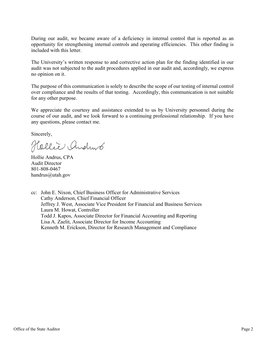During our audit, we became aware of a deficiency in internal control that is reported as an opportunity for strengthening internal controls and operating efficiencies. This other finding is included with this letter.

The University's written response to and corrective action plan for the finding identified in our audit was not subjected to the audit procedures applied in our audit and, accordingly, we express no opinion on it.

The purpose of this communication is solely to describe the scope of our testing of internal control over compliance and the results of that testing. Accordingly, this communication is not suitable for any other purpose.

We appreciate the courtesy and assistance extended to us by University personnel during the course of our audit, and we look forward to a continuing professional relationship. If you have any questions, please contact me.

Sincerely,

Hollie Andrus

Hollie Andrus, CPA Audit Director 801-808-0467 handrus@utah.gov

cc: John E. Nixon, Chief Business Officer for Administrative Services Cathy Anderson, Chief Financial Officer Jeffrey J. West, Associate Vice President for Financial and Business Services Laura M. Howat, Controller Todd J. Kapos, Associate Director for Financial Accounting and Reporting Lisa A. Zaelit, Associate Director for Income Accounting Kenneth M. Erickson, Director for Research Management and Compliance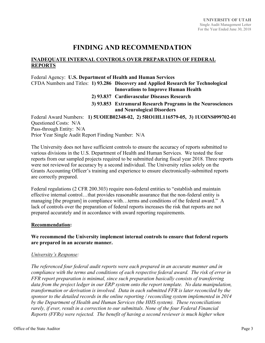### **FINDING AND RECOMMENDATION**

#### **INADEQUATE INTERNAL CONTROLS OVER PREPARATION OF FEDERAL REPORTS**

Federal Agency: **U.S. Department of Health and Human Services** 

CFDA Numbers and Titles: **1) 93.286 Discovery and Applied Research for Technological Innovations to Improve Human Health** 

- **2) 93.837 Cardiovascular Diseases Research**
- **3) 93.853 Extramural Research Programs in the Neurosciences and Neurological Disorders**

Federal Award Numbers: **1) 5UOIEB02348-02, 2) 5RO1HL116579-05, 3) 1UOINS099702-01**  Questioned Costs: N/A Pass-through Entity: N/A Prior Year Single Audit Report Finding Number: N/A

The University does not have sufficient controls to ensure the accuracy of reports submitted to various divisions in the U.S. Department of Health and Human Services. We tested the four reports from our sampled projects required to be submitted during fiscal year 2018. Three reports were not reviewed for accuracy by a second individual. The University relies solely on the Grants Accounting Officer's training and experience to ensure electronically-submitted reports are correctly prepared.

Federal regulations (2 CFR 200.303) require non-federal entities to "establish and maintain effective internal control…that provides reasonable assurance that the non-federal entity is managing [the program] in compliance with…terms and conditions of the federal award." A lack of controls over the preparation of federal reports increases the risk that reports are not prepared accurately and in accordance with award reporting requirements.

#### **Recommendation:**

#### **We recommend the University implement internal controls to ensure that federal reports are prepared in an accurate manner.**

#### *University's Response:*

*The referenced four federal audit reports were each prepared in an accurate manner and in compliance with the terms and conditions of each respective federal award. The risk of error in FFR report preparation is minimal, since such preparation basically consists of transferring data from the project ledger in our ERP system onto the report template. No data manipulation, transformation or derivation is involved. Data in each submitted FFR is later reconciled by the sponsor to the detailed records in the online reporting / reconciling system implemented in 2014 by the Department of Health and Human Services (the HHS system). These reconciliations rarely, if ever, result in a correction to our submittals. None of the four Federal Financial Reports (FFRs) were rejected. The benefit of having a second reviewer is much higher when*